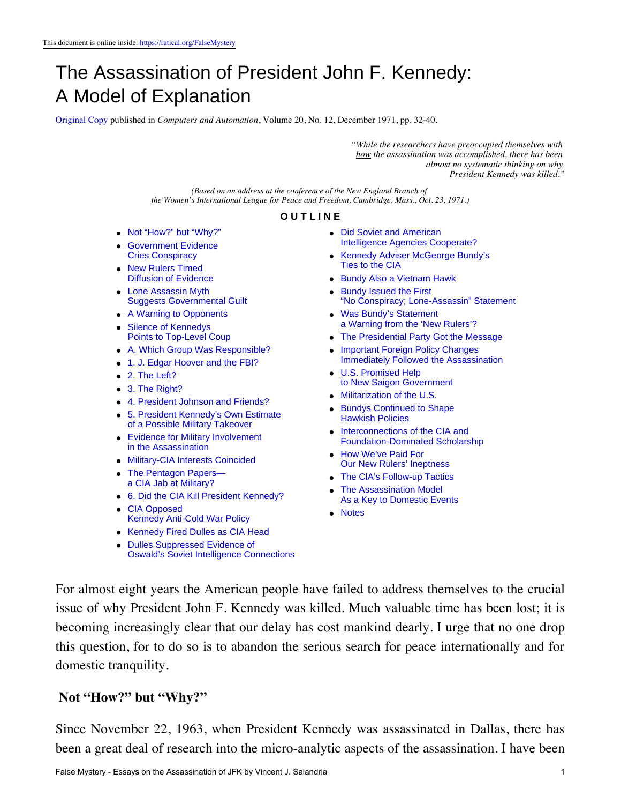# The Assassination of President John F. Kennedy: A Model of Explanation

[Original Copy](https://ratical.org/ratville/JFK/FalseMystery/Original-ModelOfExplanation.pdf) published in *Computers and Automation*, Volume 20, No. 12, December 1971, pp. 32-40.

*"While the researchers have preoccupied themselves with how the assassination was accomplished, there has been almost no systematic thinking on why President Kennedy was killed."*

*(Based on an address at the conference of the New England Branch of the Women's International League for Peace and Freedom, Cambridge, Mass., Oct. 23, 1971.)*

#### **O U T L I N E**

- [Not "How?" but "Why?"](#page-0-0)
- [Government Evidence](#page-1-0) [Cries Conspiracy](#page-1-0)
- [New Rulers Timed](#page-1-1) [Diffusion of Evidence](#page-1-1)
- **[Lone Assassin Myth](#page-2-0)** [Suggests Governmental Guilt](#page-2-0)
- [A Warning to Opponents](#page-3-0) **[Silence of Kennedys](#page-4-0)**
- [Points to Top-Level Coup](#page-4-0)
- [A. Which Group Was Responsible?](#page-4-1)
- [1. J. Edgar Hoover and the FBI?](#page-5-0)
- [2. The Left?](#page-5-1)
- [3. The Right?](#page-5-2)
- [4. President Johnson and Friends?](#page-5-3)
- [5. President Kennedy's Own Estimate](#page-6-0) [of a Possible Military Takeover](#page-6-0)
- [Evidence for Military Involvement](#page-7-0) [in the Assassination](#page-7-0)
- [Military-CIA Interests Coincided](#page-7-1)
- [The Pentagon Papers](#page-8-0) [a CIA Jab at Military?](#page-8-0)
- [6. Did the CIA Kill President Kennedy?](#page-8-1)
- [CIA Opposed](#page-9-0) [Kennedy Anti-Cold War Policy](#page-9-0)
- [Kennedy Fired Dulles as CIA Head](#page-10-0)
- [Dulles Suppressed Evidence of](#page-10-1) [Oswald's Soviet Intelligence Connections](#page-10-1)
- [Did Soviet and American](#page-11-0) [Intelligence Agencies](#page-11-0) Cooperate?
- [Kennedy Adviser McGeorge Bundy's](#page-12-0) [Ties to the CIA](#page-12-0)
- [Bundy Also a Vietnam Hawk](#page-13-0)
- **[Bundy Issued the First](#page-13-1)** "No Conspiracy; [Lone-Assassin" Statement](#page-13-1)
- [Was Bundy's Statement](#page-14-0) [a Warning from the 'New](#page-14-0) Rulers'?
- [The Presidential Party Got the Message](#page-15-0)
- [Important Foreign Policy Changes](#page-15-1) [Immediately Followed the](#page-15-1) Assassination
- [U.S. Promised Help](#page-16-0) [to New Saigon Government](#page-16-0)
- [Militarization of the U.S.](#page-16-1)
- **[Bundys Continued to Shape](#page-16-2)** [Hawkish Policies](#page-16-2)
- [Interconnections of the CIA and](#page-17-0) [Foundation-Dominated](#page-17-0) Scholarship
- [How We've Paid For](#page-18-0) [Our New Rulers'](#page-18-0) Ineptness
- The CIA's Follow-up Tactics
- [The Assassination Model](#page-19-0) [As a Key to Domestic Events](#page-19-0)
- [Notes](#page-19-1)

For almost eight years the American people have failed to address themselves to the crucial issue of why President John F. Kennedy was killed. Much valuable time has been lost; it is becoming increasingly clear that our delay has cost mankind dearly. I urge that no one drop this question, for to do so is to abandon the serious search for peace internationally and for domestic tranquility.

#### <span id="page-0-0"></span>**Not "How?" but "Why?"**

Since November 22, 1963, when President Kennedy was assassinated in Dallas, there has been a great deal of research into the micro-analytic aspects of the assassination. I have been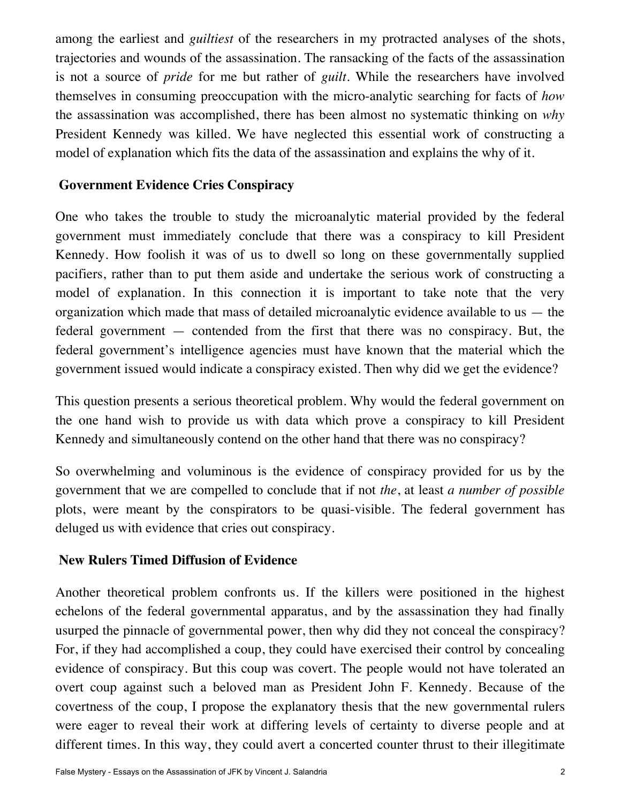among the earliest and *guiltiest* of the researchers in my protracted analyses of the shots, trajectories and wounds of the assassination. The ransacking of the facts of the assassination is not a source of *pride* for me but rather of *guilt*. While the researchers have involved themselves in consuming preoccupation with the micro-analytic searching for facts of *how* the assassination was accomplished, there has been almost no systematic thinking on *why* President Kennedy was killed. We have neglected this essential work of constructing a model of explanation which fits the data of the assassination and explains the why of it.

#### <span id="page-1-0"></span>**Government Evidence Cries Conspiracy**

One who takes the trouble to study the microanalytic material provided by the federal government must immediately conclude that there was a conspiracy to kill President Kennedy. How foolish it was of us to dwell so long on these governmentally supplied pacifiers, rather than to put them aside and undertake the serious work of constructing a model of explanation. In this connection it is important to take note that the very organization which made that mass of detailed microanalytic evidence available to us  $-$  the federal government — contended from the first that there was no conspiracy. But, the federal government's intelligence agencies must have known that the material which the government issued would indicate a conspiracy existed. Then why did we get the evidence?

This question presents a serious theoretical problem. Why would the federal government on the one hand wish to provide us with data which prove a conspiracy to kill President Kennedy and simultaneously contend on the other hand that there was no conspiracy?

So overwhelming and voluminous is the evidence of conspiracy provided for us by the government that we are compelled to conclude that if not *the*, at least *a number of possible* plots, were meant by the conspirators to be quasi-visible. The federal government has deluged us with evidence that cries out conspiracy.

#### <span id="page-1-1"></span>**New Rulers Timed Diffusion of Evidence**

Another theoretical problem confronts us. If the killers were positioned in the highest echelons of the federal governmental apparatus, and by the assassination they had finally usurped the pinnacle of governmental power, then why did they not conceal the conspiracy? For, if they had accomplished a coup, they could have exercised their control by concealing evidence of conspiracy. But this coup was covert. The people would not have tolerated an overt coup against such a beloved man as President John F. Kennedy. Because of the covertness of the coup, I propose the explanatory thesis that the new governmental rulers were eager to reveal their work at differing levels of certainty to diverse people and at different times. In this way, they could avert a concerted counter thrust to their illegitimate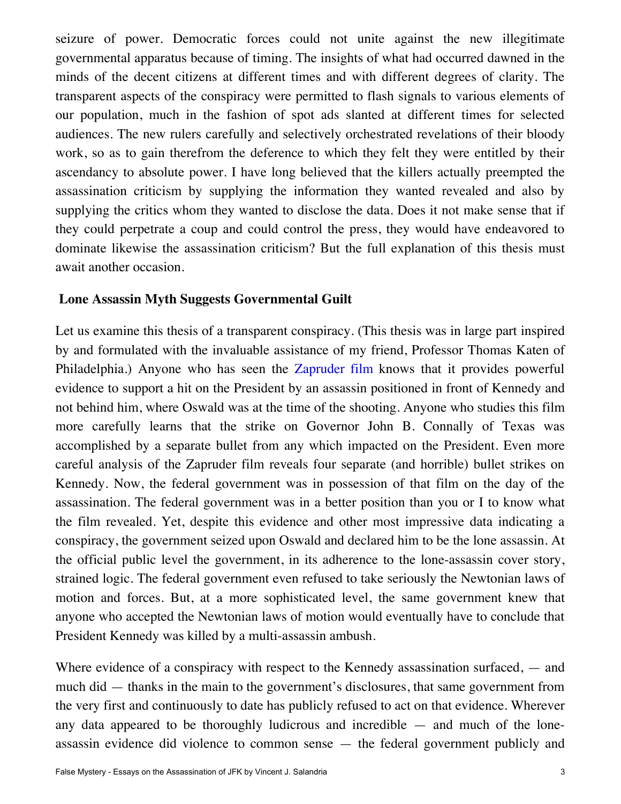seizure of power. Democratic forces could not unite against the new illegitimate governmental apparatus because of timing. The insights of what had occurred dawned in the minds of the decent citizens at different times and with different degrees of clarity. The transparent aspects of the conspiracy were permitted to flash signals to various elements of our population, much in the fashion of spot ads slanted at different times for selected audiences. The new rulers carefully and selectively orchestrated revelations of their bloody work, so as to gain therefrom the deference to which they felt they were entitled by their ascendancy to absolute power. I have long believed that the killers actually preempted the assassination criticism by supplying the information they wanted revealed and also by supplying the critics whom they wanted to disclose the data. Does it not make sense that if they could perpetrate a coup and could control the press, they would have endeavored to dominate likewise the assassination criticism? But the full explanation of this thesis must await another occasion.

#### <span id="page-2-0"></span>**Lone Assassin Myth Suggests Governmental Guilt**

Let us examine this thesis of a transparent conspiracy. (This thesis was in large part inspired by and formulated with the invaluable assistance of my friend, Professor Thomas Katen of Philadelphia.) Anyone who has seen the [Zapruder film](https://www.youtube.com/watch?v=iU83R7rpXQY) knows that it provides powerful evidence to support a hit on the President by an assassin positioned in front of Kennedy and not behind him, where Oswald was at the time of the shooting. Anyone who studies this film more carefully learns that the strike on Governor John B. Connally of Texas was accomplished by a separate bullet from any which impacted on the President. Even more careful analysis of the Zapruder film reveals four separate (and horrible) bullet strikes on Kennedy. Now, the federal government was in possession of that film on the day of the assassination. The federal government was in a better position than you or I to know what the film revealed. Yet, despite this evidence and other most impressive data indicating a conspiracy, the government seized upon Oswald and declared him to be the lone assassin. At the official public level the government, in its adherence to the lone-assassin cover story, strained logic. The federal government even refused to take seriously the Newtonian laws of motion and forces. But, at a more sophisticated level, the same government knew that anyone who accepted the Newtonian laws of motion would eventually have to conclude that President Kennedy was killed by a multi-assassin ambush.

Where evidence of a conspiracy with respect to the Kennedy assassination surfaced, — and much did — thanks in the main to the government's disclosures, that same government from the very first and continuously to date has publicly refused to act on that evidence. Wherever any data appeared to be thoroughly ludicrous and incredible — and much of the loneassassin evidence did violence to common sense — the federal government publicly and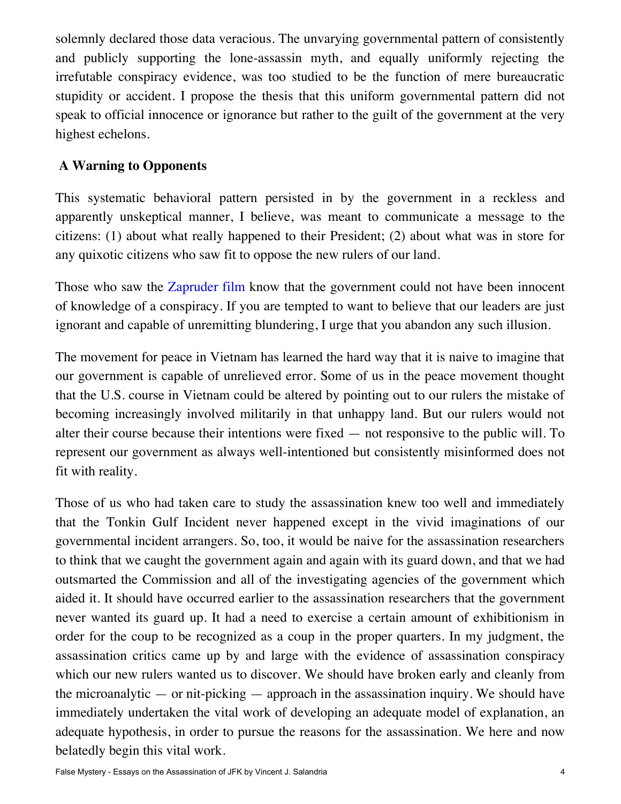solemnly declared those data veracious. The unvarying governmental pattern of consistently and publicly supporting the lone-assassin myth, and equally uniformly rejecting the irrefutable conspiracy evidence, was too studied to be the function of mere bureaucratic stupidity or accident. I propose the thesis that this uniform governmental pattern did not speak to official innocence or ignorance but rather to the guilt of the government at the very highest echelons.

## <span id="page-3-0"></span>**A Warning to Opponents**

This systematic behavioral pattern persisted in by the government in a reckless and apparently unskeptical manner, I believe, was meant to communicate a message to the citizens: (1) about what really happened to their President; (2) about what was in store for any quixotic citizens who saw fit to oppose the new rulers of our land.

Those who saw the [Zapruder film](https://www.youtube.com/watch?v=iU83R7rpXQY) know that the government could not have been innocent of knowledge of a conspiracy. If you are tempted to want to believe that our leaders are just ignorant and capable of unremitting blundering, I urge that you abandon any such illusion.

The movement for peace in Vietnam has learned the hard way that it is naive to imagine that our government is capable of unrelieved error. Some of us in the peace movement thought that the U.S. course in Vietnam could be altered by pointing out to our rulers the mistake of becoming increasingly involved militarily in that unhappy land. But our rulers would not alter their course because their intentions were fixed — not responsive to the public will. To represent our government as always well-intentioned but consistently misinformed does not fit with reality.

Those of us who had taken care to study the assassination knew too well and immediately that the Tonkin Gulf Incident never happened except in the vivid imaginations of our governmental incident arrangers. So, too, it would be naive for the assassination researchers to think that we caught the government again and again with its guard down, and that we had outsmarted the Commission and all of the investigating agencies of the government which aided it. It should have occurred earlier to the assassination researchers that the government never wanted its guard up. It had a need to exercise a certain amount of exhibitionism in order for the coup to be recognized as a coup in the proper quarters. In my judgment, the assassination critics came up by and large with the evidence of assassination conspiracy which our new rulers wanted us to discover. We should have broken early and cleanly from the microanalytic  $-$  or nit-picking  $-$  approach in the assassination inquiry. We should have immediately undertaken the vital work of developing an adequate model of explanation, an adequate hypothesis, in order to pursue the reasons for the assassination. We here and now belatedly begin this vital work.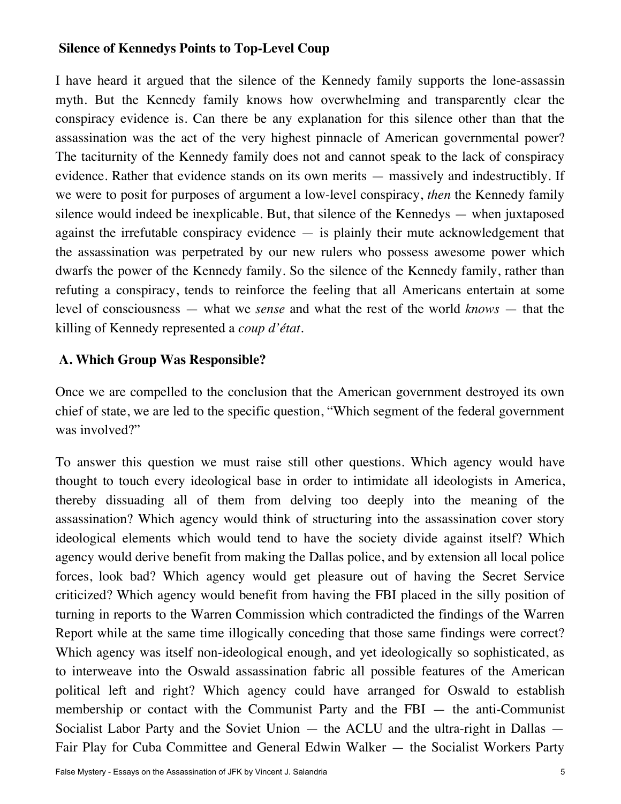### <span id="page-4-0"></span>**Silence of Kennedys Points to Top-Level Coup**

I have heard it argued that the silence of the Kennedy family supports the lone-assassin myth. But the Kennedy family knows how overwhelming and transparently clear the conspiracy evidence is. Can there be any explanation for this silence other than that the assassination was the act of the very highest pinnacle of American governmental power? The taciturnity of the Kennedy family does not and cannot speak to the lack of conspiracy evidence. Rather that evidence stands on its own merits — massively and indestructibly. If we were to posit for purposes of argument a low-level conspiracy, *then* the Kennedy family silence would indeed be inexplicable. But, that silence of the Kennedys — when juxtaposed against the irrefutable conspiracy evidence — is plainly their mute acknowledgement that the assassination was perpetrated by our new rulers who possess awesome power which dwarfs the power of the Kennedy family. So the silence of the Kennedy family, rather than refuting a conspiracy, tends to reinforce the feeling that all Americans entertain at some level of consciousness — what we *sense* and what the rest of the world *knows* — that the killing of Kennedy represented a *coup d'état.*

#### <span id="page-4-1"></span>**A. Which Group Was Responsible?**

Once we are compelled to the conclusion that the American government destroyed its own chief of state, we are led to the specific question, "Which segment of the federal government was involved?"

To answer this question we must raise still other questions. Which agency would have thought to touch every ideological base in order to intimidate all ideologists in America, thereby dissuading all of them from delving too deeply into the meaning of the assassination? Which agency would think of structuring into the assassination cover story ideological elements which would tend to have the society divide against itself? Which agency would derive benefit from making the Dallas police, and by extension all local police forces, look bad? Which agency would get pleasure out of having the Secret Service criticized? Which agency would benefit from having the FBI placed in the silly position of turning in reports to the Warren Commission which contradicted the findings of the Warren Report while at the same time illogically conceding that those same findings were correct? Which agency was itself non-ideological enough, and yet ideologically so sophisticated, as to interweave into the Oswald assassination fabric all possible features of the American political left and right? Which agency could have arranged for Oswald to establish membership or contact with the Communist Party and the FBI — the anti-Communist Socialist Labor Party and the Soviet Union — the ACLU and the ultra-right in Dallas — Fair Play for Cuba Committee and General Edwin Walker — the Socialist Workers Party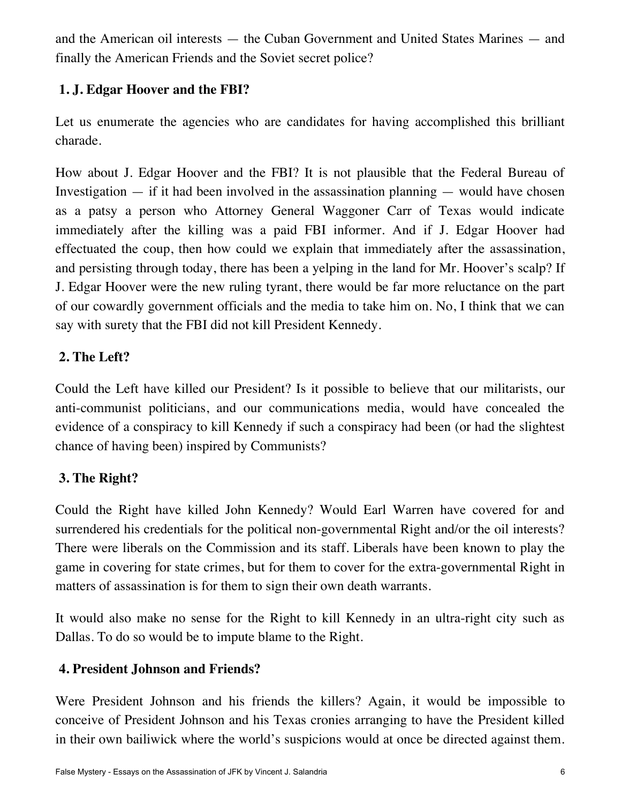and the American oil interests — the Cuban Government and United States Marines — and finally the American Friends and the Soviet secret police?

## <span id="page-5-0"></span>**1. J. Edgar Hoover and the FBI?**

Let us enumerate the agencies who are candidates for having accomplished this brilliant charade.

How about J. Edgar Hoover and the FBI? It is not plausible that the Federal Bureau of Investigation  $-$  if it had been involved in the assassination planning  $-$  would have chosen as a patsy a person who Attorney General Waggoner Carr of Texas would indicate immediately after the killing was a paid FBI informer. And if J. Edgar Hoover had effectuated the coup, then how could we explain that immediately after the assassination, and persisting through today, there has been a yelping in the land for Mr. Hoover's scalp? If J. Edgar Hoover were the new ruling tyrant, there would be far more reluctance on the part of our cowardly government officials and the media to take him on. No, I think that we can say with surety that the FBI did not kill President Kennedy.

## <span id="page-5-1"></span>**2. The Left?**

Could the Left have killed our President? Is it possible to believe that our militarists, our anti-communist politicians, and our communications media, would have concealed the evidence of a conspiracy to kill Kennedy if such a conspiracy had been (or had the slightest chance of having been) inspired by Communists?

## <span id="page-5-2"></span>**3. The Right?**

Could the Right have killed John Kennedy? Would Earl Warren have covered for and surrendered his credentials for the political non-governmental Right and/or the oil interests? There were liberals on the Commission and its staff. Liberals have been known to play the game in covering for state crimes, but for them to cover for the extra-governmental Right in matters of assassination is for them to sign their own death warrants.

It would also make no sense for the Right to kill Kennedy in an ultra-right city such as Dallas. To do so would be to impute blame to the Right.

## <span id="page-5-3"></span>**4. President Johnson and Friends?**

Were President Johnson and his friends the killers? Again, it would be impossible to conceive of President Johnson and his Texas cronies arranging to have the President killed in their own bailiwick where the world's suspicions would at once be directed against them.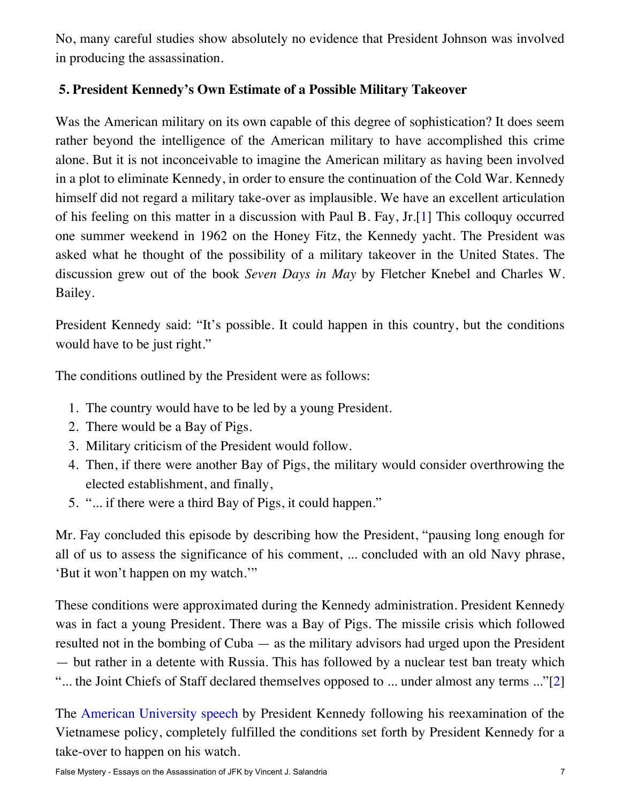No, many careful studies show absolutely no evidence that President Johnson was involved in producing the assassination.

## <span id="page-6-0"></span>**5. President Kennedy's Own Estimate of a Possible Military Takeover**

<span id="page-6-1"></span>Was the American military on its own capable of this degree of sophistication? It does seem rather beyond the intelligence of the American military to have accomplished this crime alone. But it is not inconceivable to imagine the American military as having been involved in a plot to eliminate Kennedy, in order to ensure the continuation of the Cold War. Kennedy himself did not regard a military take-over as implausible. We have an excellent articulation of his feeling on this matter in a discussion with Paul B. Fay, Jr.[\[1](#page-19-2)] This colloquy occurred one summer weekend in 1962 on the Honey Fitz, the Kennedy yacht. The President was asked what he thought of the possibility of a military takeover in the United States. The discussion grew out of the book *Seven Days in May* by Fletcher Knebel and Charles W. Bailey.

President Kennedy said: "It's possible. It could happen in this country, but the conditions would have to be just right."

The conditions outlined by the President were as follows:

- 1. The country would have to be led by a young President.
- 2. There would be a Bay of Pigs.
- 3. Military criticism of the President would follow.
- 4. Then, if there were another Bay of Pigs, the military would consider overthrowing the elected establishment, and finally,
- 5. "... if there were a third Bay of Pigs, it could happen."

Mr. Fay concluded this episode by describing how the President, "pausing long enough for all of us to assess the significance of his comment, ... concluded with an old Navy phrase, 'But it won't happen on my watch.'"

These conditions were approximated during the Kennedy administration. President Kennedy was in fact a young President. There was a Bay of Pigs. The missile crisis which followed resulted not in the bombing of Cuba — as the military advisors had urged upon the President — but rather in a detente with Russia. This has followed by a nuclear test ban treaty which "... the Joint Chiefs of Staff declared themselves opposed to ... under almost any terms ..."[\[2](#page-19-3)]

<span id="page-6-2"></span>The [American University speech](https://ratical.org/ratville/JFK/HWNAU/JFK061063.html) by President Kennedy following his reexamination of the Vietnamese policy, completely fulfilled the conditions set forth by President Kennedy for a take-over to happen on his watch.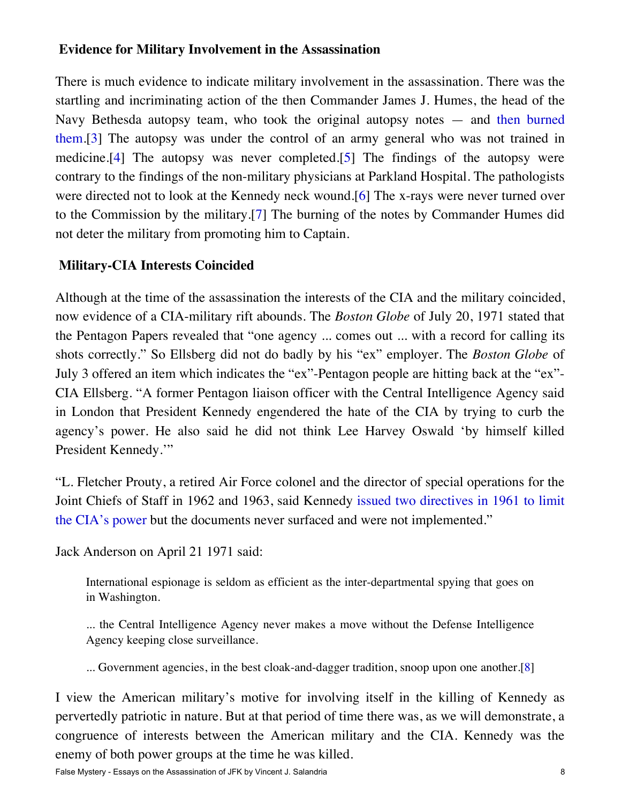#### <span id="page-7-0"></span>**Evidence for Military Involvement in the Assassination**

<span id="page-7-3"></span><span id="page-7-2"></span>There is much evidence to indicate military involvement in the assassination. There was the startling and incriminating action of the then Commander James J. Humes, the head of the Navy Bethesda autopsy team, who took the original autopsy notes — and [then burned](http://history-matters.com/archive/jfk/wc/wcvols/wh17/html/WH_Vol17_0037b.htm) [them](http://history-matters.com/archive/jfk/wc/wcvols/wh17/html/WH_Vol17_0037b.htm).[\[3](#page-19-4)] The autopsy was under the control of an army general who was not trained in medicine.[\[4\]](#page-19-5) The autopsy was never completed.[\[5](#page-19-6)] The findings of the autopsy were contrary to the findings of the non-military physicians at Parkland Hospital. The pathologists were directed not to look at the Kennedy neck wound.[\[6](#page-19-7)] The x-rays were never turned over to the Commission by the military.[\[7](#page-19-8)] The burning of the notes by Commander Humes did not deter the military from promoting him to Captain.

### <span id="page-7-5"></span><span id="page-7-4"></span><span id="page-7-1"></span>**Military-CIA Interests Coincided**

Although at the time of the assassination the interests of the CIA and the military coincided, now evidence of a CIA-military rift abounds. The *Boston Globe* of July 20, 1971 stated that the Pentagon Papers revealed that "one agency ... comes out ... with a record for calling its shots correctly." So Ellsberg did not do badly by his "ex" employer. The *Boston Globe* of July 3 offered an item which indicates the "ex"-Pentagon people are hitting back at the "ex"- CIA Ellsberg. "A former Pentagon liaison officer with the Central Intelligence Agency said in London that President Kennedy engendered the hate of the CIA by trying to curb the agency's power. He also said he did not think Lee Harvey Oswald 'by himself killed President Kennedy.'"

"L. Fletcher Prouty, a retired Air Force colonel and the director of special operations for the Joint Chiefs of Staff in 1962 and 1963, said Kennedy [issued two directives in 1961 to limit](https://ratical.org/ratville/JFK/Unspeakable/COPA2009.html#fn23) [the CIA's power](https://ratical.org/ratville/JFK/Unspeakable/COPA2009.html#fn23) but the documents never surfaced and were not implemented."

Jack Anderson on April 21 1971 said:

International espionage is seldom as efficient as the inter-departmental spying that goes on in Washington.

... the Central Intelligence Agency never makes a move without the Defense Intelligence Agency keeping close surveillance.

... Government agencies, in the best cloak-and-dagger tradition, snoop upon one another.[\[8](#page-19-9)]

<span id="page-7-6"></span>I view the American military's motive for involving itself in the killing of Kennedy as pervertedly patriotic in nature. But at that period of time there was, as we will demonstrate, a congruence of interests between the American military and the CIA. Kennedy was the enemy of both power groups at the time he was killed.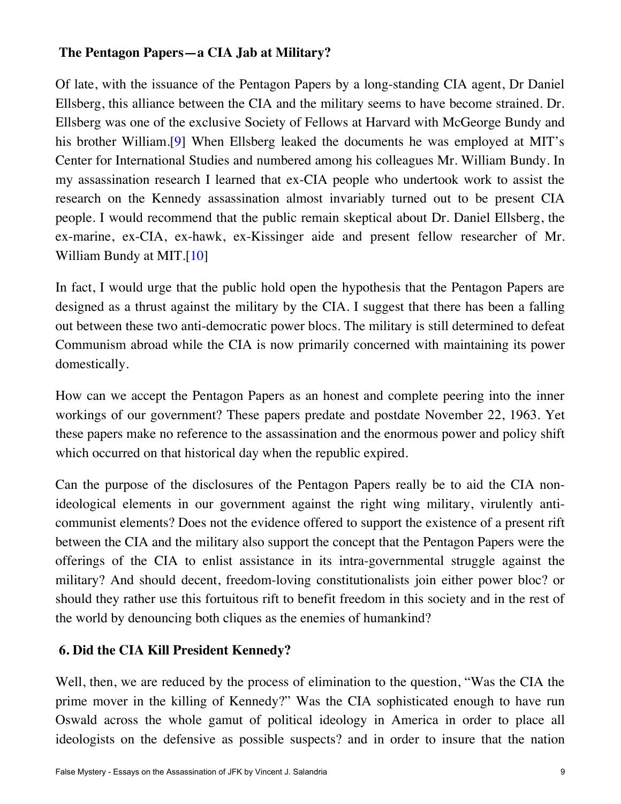## <span id="page-8-0"></span>**The Pentagon Papers—a CIA Jab at Military?**

<span id="page-8-2"></span>Of late, with the issuance of the Pentagon Papers by a long-standing CIA agent, Dr Daniel Ellsberg, this alliance between the CIA and the military seems to have become strained. Dr. Ellsberg was one of the exclusive Society of Fellows at Harvard with McGeorge Bundy and his brother William.[\[9\]](#page-19-10) When Ellsberg leaked the documents he was employed at MIT's Center for International Studies and numbered among his colleagues Mr. William Bundy. In my assassination research I learned that ex-CIA people who undertook work to assist the research on the Kennedy assassination almost invariably turned out to be present CIA people. I would recommend that the public remain skeptical about Dr. Daniel Ellsberg, the ex-marine, ex-CIA, ex-hawk, ex-Kissinger aide and present fellow researcher of Mr. William Bundy at MIT.[\[10\]](#page-19-11)

<span id="page-8-3"></span>In fact, I would urge that the public hold open the hypothesis that the Pentagon Papers are designed as a thrust against the military by the CIA. I suggest that there has been a falling out between these two anti-democratic power blocs. The military is still determined to defeat Communism abroad while the CIA is now primarily concerned with maintaining its power domestically.

How can we accept the Pentagon Papers as an honest and complete peering into the inner workings of our government? These papers predate and postdate November 22, 1963. Yet these papers make no reference to the assassination and the enormous power and policy shift which occurred on that historical day when the republic expired.

Can the purpose of the disclosures of the Pentagon Papers really be to aid the CIA nonideological elements in our government against the right wing military, virulently anticommunist elements? Does not the evidence offered to support the existence of a present rift between the CIA and the military also support the concept that the Pentagon Papers were the offerings of the CIA to enlist assistance in its intra-governmental struggle against the military? And should decent, freedom-loving constitutionalists join either power bloc? or should they rather use this fortuitous rift to benefit freedom in this society and in the rest of the world by denouncing both cliques as the enemies of humankind?

## <span id="page-8-1"></span>**6. Did the CIA Kill President Kennedy?**

Well, then, we are reduced by the process of elimination to the question, "Was the CIA the prime mover in the killing of Kennedy?" Was the CIA sophisticated enough to have run Oswald across the whole gamut of political ideology in America in order to place all ideologists on the defensive as possible suspects? and in order to insure that the nation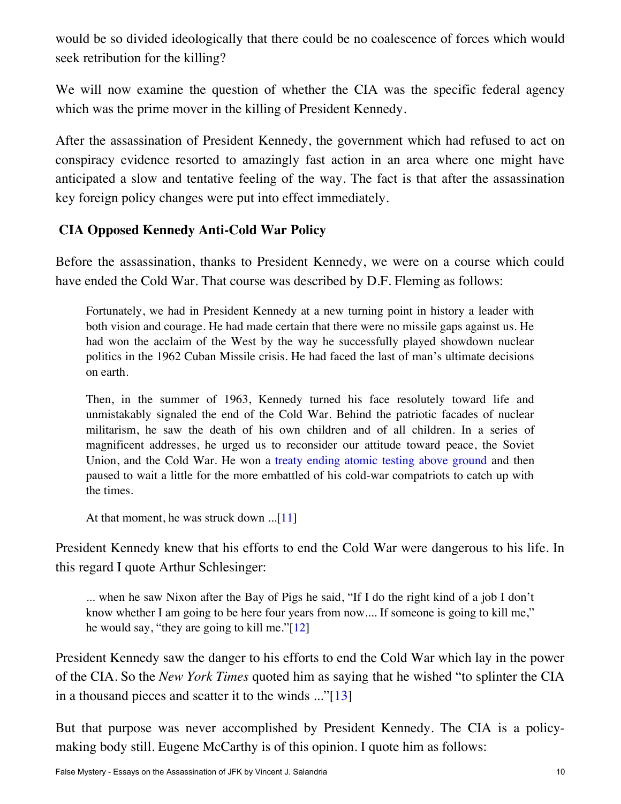would be so divided ideologically that there could be no coalescence of forces which would seek retribution for the killing?

We will now examine the question of whether the CIA was the specific federal agency which was the prime mover in the killing of President Kennedy.

After the assassination of President Kennedy, the government which had refused to act on conspiracy evidence resorted to amazingly fast action in an area where one might have anticipated a slow and tentative feeling of the way. The fact is that after the assassination key foreign policy changes were put into effect immediately.

## <span id="page-9-0"></span>**CIA Opposed Kennedy Anti-Cold War Policy**

Before the assassination, thanks to President Kennedy, we were on a course which could have ended the Cold War. That course was described by D.F. Fleming as follows:

Fortunately, we had in President Kennedy at a new turning point in history a leader with both vision and courage. He had made certain that there were no missile gaps against us. He had won the acclaim of the West by the way he successfully played showdown nuclear politics in the 1962 Cuban Missile crisis. He had faced the last of man's ultimate decisions on earth.

Then, in the summer of 1963, Kennedy turned his face resolutely toward life and unmistakably signaled the end of the Cold War. Behind the patriotic facades of nuclear militarism, he saw the death of his own children and of all children. In a series of magnificent addresses, he urged us to reconsider our attitude toward peace, the Soviet Union, and the Cold War. He won a [treaty ending atomic testing above ground](https://ratical.org/co-globalize/JFK072663.html) and then paused to wait a little for the more embattled of his cold-war compatriots to catch up with the times.

At that moment, he was struck down ...[\[11](#page-19-12)]

<span id="page-9-1"></span>President Kennedy knew that his efforts to end the Cold War were dangerous to his life. In this regard I quote Arthur Schlesinger:

... when he saw Nixon after the Bay of Pigs he said, "If I do the right kind of a job I don't know whether I am going to be here four years from now.... If someone is going to kill me," he would say, "they are going to kill me."[\[12](#page-19-13)]

<span id="page-9-2"></span>President Kennedy saw the danger to his efforts to end the Cold War which lay in the power of the CIA. So the *New York Times* quoted him as saying that he wished "to splinter the CIA in a thousand pieces and scatter it to the winds ..."[\[13](#page-19-14)]

<span id="page-9-3"></span>But that purpose was never accomplished by President Kennedy. The CIA is a policymaking body still. Eugene McCarthy is of this opinion. I quote him as follows: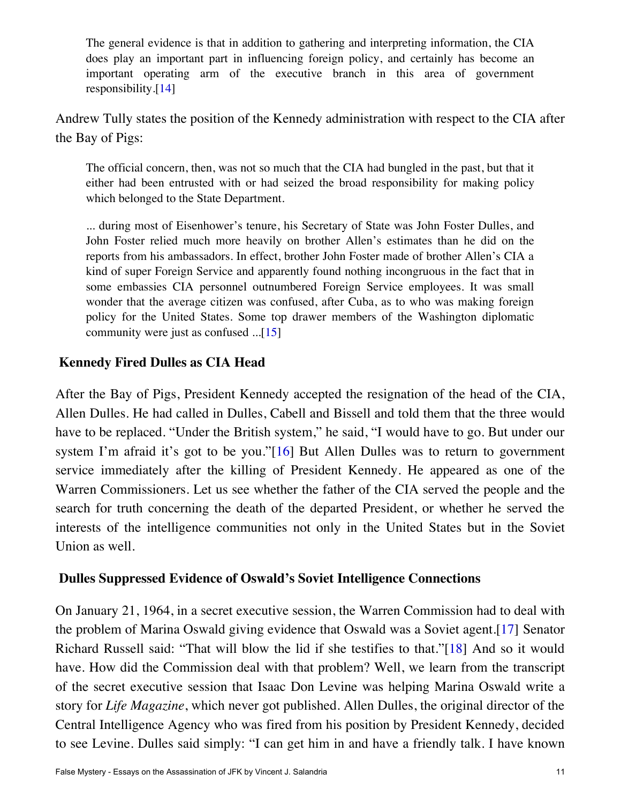The general evidence is that in addition to gathering and interpreting information, the CIA does play an important part in influencing foreign policy, and certainly has become an important operating arm of the executive branch in this area of government responsibility.[\[14](#page-19-15)]

<span id="page-10-2"></span>Andrew Tully states the position of the Kennedy administration with respect to the CIA after the Bay of Pigs:

The official concern, then, was not so much that the CIA had bungled in the past, but that it either had been entrusted with or had seized the broad responsibility for making policy which belonged to the State Department.

... during most of Eisenhower's tenure, his Secretary of State was John Foster Dulles, and John Foster relied much more heavily on brother Allen's estimates than he did on the reports from his ambassadors. In effect, brother John Foster made of brother Allen's CIA a kind of super Foreign Service and apparently found nothing incongruous in the fact that in some embassies CIA personnel outnumbered Foreign Service employees. It was small wonder that the average citizen was confused, after Cuba, as to who was making foreign policy for the United States. Some top drawer members of the Washington diplomatic community were just as confused ...[\[15](#page-19-16)]

#### <span id="page-10-3"></span><span id="page-10-0"></span>**Kennedy Fired Dulles as CIA Head**

<span id="page-10-4"></span>After the Bay of Pigs, President Kennedy accepted the resignation of the head of the CIA, Allen Dulles. He had called in Dulles, Cabell and Bissell and told them that the three would have to be replaced. "Under the British system," he said, "I would have to go. But under our system I'm afraid it's got to be you."[\[16\]](#page-19-17) But Allen Dulles was to return to government service immediately after the killing of President Kennedy. He appeared as one of the Warren Commissioners. Let us see whether the father of the CIA served the people and the search for truth concerning the death of the departed President, or whether he served the interests of the intelligence communities not only in the United States but in the Soviet Union as well.

#### <span id="page-10-1"></span>**Dulles Suppressed Evidence of Oswald's Soviet Intelligence Connections**

<span id="page-10-6"></span><span id="page-10-5"></span>On January 21, 1964, in a secret executive session, the Warren Commission had to deal with the problem of Marina Oswald giving evidence that Oswald was a Soviet agent.[[17\]](#page-20-0) Senator Richard Russell said: "That will blow the lid if she testifies to that."[[18\]](#page-20-1) And so it would have. How did the Commission deal with that problem? Well, we learn from the transcript of the secret executive session that Isaac Don Levine was helping Marina Oswald write a story for *Life Magazine*, which never got published. Allen Dulles, the original director of the Central Intelligence Agency who was fired from his position by President Kennedy, decided to see Levine. Dulles said simply: "I can get him in and have a friendly talk. I have known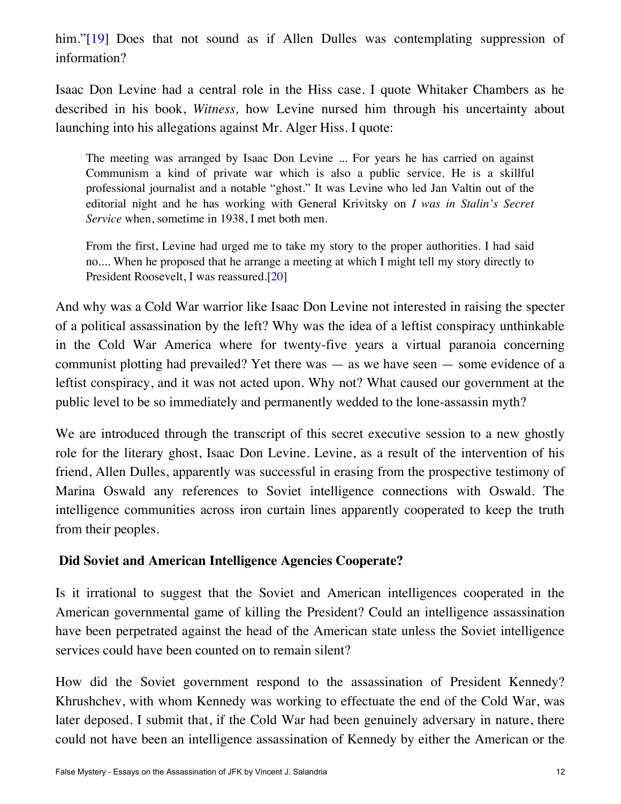<span id="page-11-1"></span>him."[\[19](#page-20-2)] Does that not sound as if Allen Dulles was contemplating suppression of information?

Isaac Don Levine had a central role in the Hiss case. I quote Whitaker Chambers as he described in his book, *Witness,* how Levine nursed him through his uncertainty about launching into his allegations against Mr. Alger Hiss. I quote:

The meeting was arranged by Isaac Don Levine ... For years he has carried on against Communism a kind of private war which is also a public service. He is a skillful professional journalist and a notable "ghost." It was Levine who led Jan Valtin out of the editorial night and he has working with General Krivitsky on *I was in Stalin's Secret Service* when, sometime in 1938, I met both men.

From the first, Levine had urged me to take my story to the proper authorities. I had said no.... When he proposed that he arrange a meeting at which I might tell my story directly to President Roosevelt, I was reassured.[\[20](#page-20-3)]

<span id="page-11-2"></span>And why was a Cold War warrior like Isaac Don Levine not interested in raising the specter of a political assassination by the left? Why was the idea of a leftist conspiracy unthinkable in the Cold War America where for twenty-five years a virtual paranoia concerning communist plotting had prevailed? Yet there was — as we have seen — some evidence of a leftist conspiracy, and it was not acted upon. Why not? What caused our government at the public level to be so immediately and permanently wedded to the lone-assassin myth?

We are introduced through the transcript of this secret executive session to a new ghostly role for the literary ghost, Isaac Don Levine. Levine, as a result of the intervention of his friend, Allen Dulles, apparently was successful in erasing from the prospective testimony of Marina Oswald any references to Soviet intelligence connections with Oswald. The intelligence communities across iron curtain lines apparently cooperated to keep the truth from their peoples.

### <span id="page-11-0"></span>**Did Soviet and American Intelligence Agencies Cooperate?**

Is it irrational to suggest that the Soviet and American intelligences cooperated in the American governmental game of killing the President? Could an intelligence assassination have been perpetrated against the head of the American state unless the Soviet intelligence services could have been counted on to remain silent?

How did the Soviet government respond to the assassination of President Kennedy? Khrushchev, with whom Kennedy was working to effectuate the end of the Cold War, was later deposed. I submit that, if the Cold War had been genuinely adversary in nature, there could not have been an intelligence assassination of Kennedy by either the American or the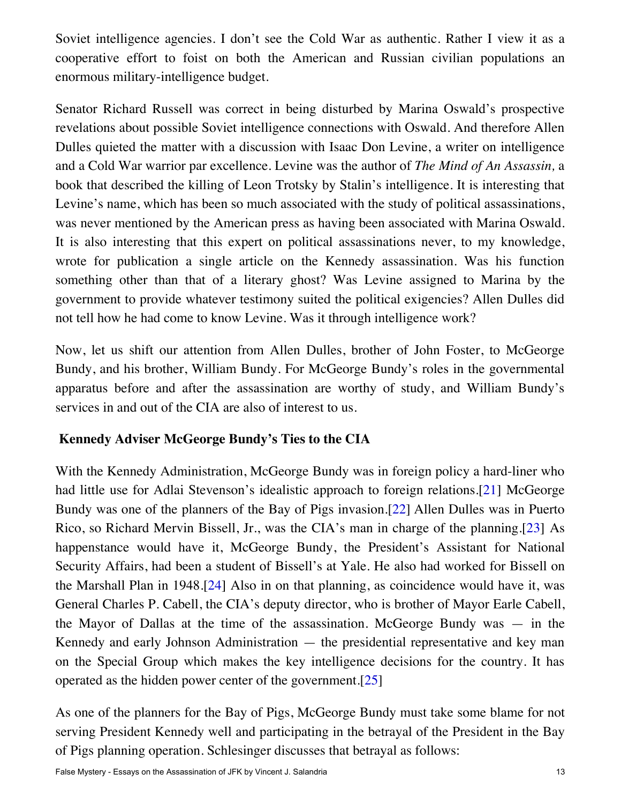Soviet intelligence agencies. I don't see the Cold War as authentic. Rather I view it as a cooperative effort to foist on both the American and Russian civilian populations an enormous military-intelligence budget.

Senator Richard Russell was correct in being disturbed by Marina Oswald's prospective revelations about possible Soviet intelligence connections with Oswald. And therefore Allen Dulles quieted the matter with a discussion with Isaac Don Levine, a writer on intelligence and a Cold War warrior par excellence. Levine was the author of *The Mind of An Assassin,* a book that described the killing of Leon Trotsky by Stalin's intelligence. It is interesting that Levine's name, which has been so much associated with the study of political assassinations, was never mentioned by the American press as having been associated with Marina Oswald. It is also interesting that this expert on political assassinations never, to my knowledge, wrote for publication a single article on the Kennedy assassination. Was his function something other than that of a literary ghost? Was Levine assigned to Marina by the government to provide whatever testimony suited the political exigencies? Allen Dulles did not tell how he had come to know Levine. Was it through intelligence work?

Now, let us shift our attention from Allen Dulles, brother of John Foster, to McGeorge Bundy, and his brother, William Bundy. For McGeorge Bundy's roles in the governmental apparatus before and after the assassination are worthy of study, and William Bundy's services in and out of the CIA are also of interest to us.

### <span id="page-12-0"></span>**Kennedy Adviser McGeorge Bundy's Ties to the CIA**

<span id="page-12-4"></span><span id="page-12-3"></span><span id="page-12-2"></span><span id="page-12-1"></span>With the Kennedy Administration, McGeorge Bundy was in foreign policy a hard-liner who had little use for Adlai Stevenson's idealistic approach to foreign relations.<sup>[\[21\]](#page-20-4)</sup> McGeorge Bundy was one of the planners of the Bay of Pigs invasion.[\[22](#page-20-5)] Allen Dulles was in Puerto Rico, so Richard Mervin Bissell, Jr., was the CIA's man in charge of the planning.[\[23\]](#page-20-6) As happenstance would have it, McGeorge Bundy, the President's Assistant for National Security Affairs, had been a student of Bissell's at Yale. He also had worked for Bissell on the Marshall Plan in 1948.[\[24\]](#page-20-7) Also in on that planning, as coincidence would have it, was General Charles P. Cabell, the CIA's deputy director, who is brother of Mayor Earle Cabell, the Mayor of Dallas at the time of the assassination. McGeorge Bundy was — in the Kennedy and early Johnson Administration — the presidential representative and key man on the Special Group which makes the key intelligence decisions for the country. It has operated as the hidden power center of the government.[\[25\]](#page-20-8)

<span id="page-12-5"></span>As one of the planners for the Bay of Pigs, McGeorge Bundy must take some blame for not serving President Kennedy well and participating in the betrayal of the President in the Bay of Pigs planning operation. Schlesinger discusses that betrayal as follows: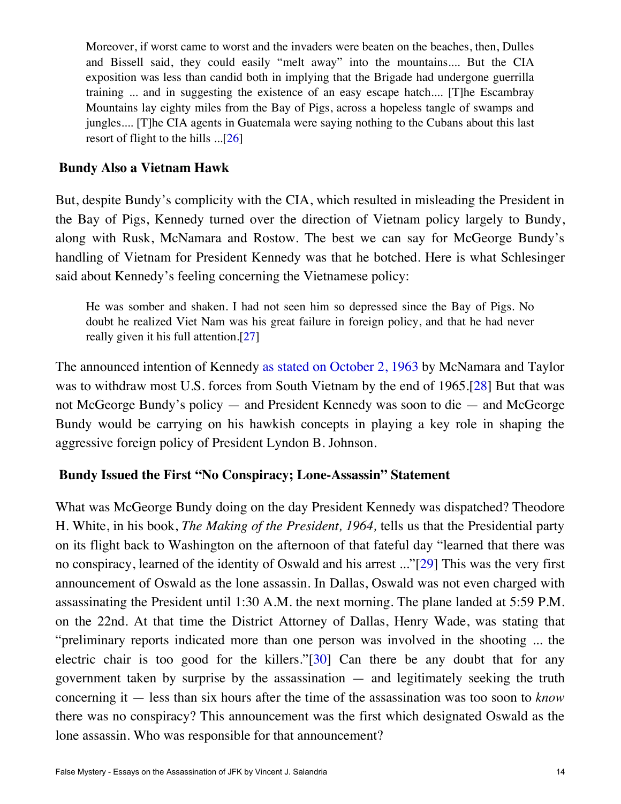Moreover, if worst came to worst and the invaders were beaten on the beaches, then, Dulles and Bissell said, they could easily "melt away" into the mountains.... But the CIA exposition was less than candid both in implying that the Brigade had undergone guerrilla training ... and in suggesting the existence of an easy escape hatch.... [T]he Escambray Mountains lay eighty miles from the Bay of Pigs, across a hopeless tangle of swamps and jungles.... [T]he CIA agents in Guatemala were saying nothing to the Cubans about this last resort of flight to the hills ...[[26\]](#page-20-9)

#### <span id="page-13-2"></span><span id="page-13-0"></span>**Bundy Also a Vietnam Hawk**

But, despite Bundy's complicity with the CIA, which resulted in misleading the President in the Bay of Pigs, Kennedy turned over the direction of Vietnam policy largely to Bundy, along with Rusk, McNamara and Rostow. The best we can say for McGeorge Bundy's handling of Vietnam for President Kennedy was that he botched. Here is what Schlesinger said about Kennedy's feeling concerning the Vietnamese policy:

He was somber and shaken. I had not seen him so depressed since the Bay of Pigs. No doubt he realized Viet Nam was his great failure in foreign policy, and that he had never really given it his full attention.[\[27](#page-20-10)]

<span id="page-13-4"></span><span id="page-13-3"></span>The announced intention of Kennedy [as stated on October 2, 1963](https://ratical.org/ratville/JFK/FRUSno169.html) by McNamara and Taylor was to withdraw most U.S. forces from South Vietnam by the end of 1965.[\[28\]](#page-20-11) But that was not McGeorge Bundy's policy — and President Kennedy was soon to die — and McGeorge Bundy would be carrying on his hawkish concepts in playing a key role in shaping the aggressive foreign policy of President Lyndon B. Johnson.

#### <span id="page-13-1"></span>**Bundy Issued the First "No Conspiracy; Lone-Assassin" Statement**

<span id="page-13-6"></span><span id="page-13-5"></span>What was McGeorge Bundy doing on the day President Kennedy was dispatched? Theodore H. White, in his book, *The Making of the President, 1964,* tells us that the Presidential party on its flight back to Washington on the afternoon of that fateful day "learned that there was no conspiracy, learned of the identity of Oswald and his arrest ..."[\[29\]](#page-20-12) This was the very first announcement of Oswald as the lone assassin. In Dallas, Oswald was not even charged with assassinating the President until 1:30 A.M. the next morning. The plane landed at 5:59 P.M. on the 22nd. At that time the District Attorney of Dallas, Henry Wade, was stating that "preliminary reports indicated more than one person was involved in the shooting ... the electric chair is too good for the killers."[\[30](#page-20-13)] Can there be any doubt that for any government taken by surprise by the assassination — and legitimately seeking the truth concerning it — less than six hours after the time of the assassination was too soon to *know* there was no conspiracy? This announcement was the first which designated Oswald as the lone assassin. Who was responsible for that announcement?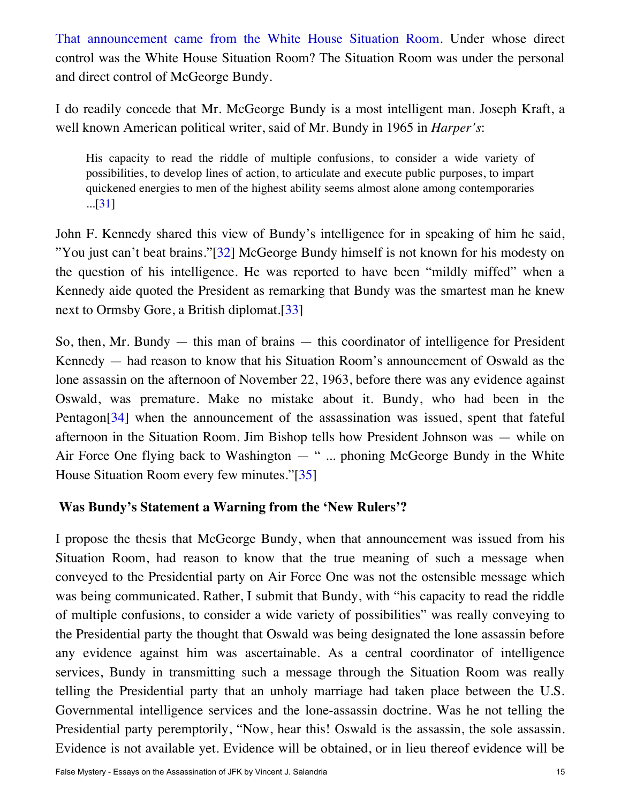[That announcement came from the White House Situation Room](https://ratical.org/ratville/JFK/FalseMystery/TaleToldByTwoTapes.html#AF1tape). Under whose direct control was the White House Situation Room? The Situation Room was under the personal and direct control of McGeorge Bundy.

I do readily concede that Mr. McGeorge Bundy is a most intelligent man. Joseph Kraft, a well known American political writer, said of Mr. Bundy in 1965 in *Harper's*:

His capacity to read the riddle of multiple confusions, to consider a wide variety of possibilities, to develop lines of action, to articulate and execute public purposes, to impart quickened energies to men of the highest ability seems almost alone among contemporaries ...[[31\]](#page-20-14)

<span id="page-14-2"></span><span id="page-14-1"></span>John F. Kennedy shared this view of Bundy's intelligence for in speaking of him he said, "You just can't beat brains."[\[32\]](#page-20-15) McGeorge Bundy himself is not known for his modesty on the question of his intelligence. He was reported to have been "mildly miffed" when a Kennedy aide quoted the President as remarking that Bundy was the smartest man he knew next to Ormsby Gore, a British diplomat.[\[33\]](#page-20-16)

<span id="page-14-4"></span><span id="page-14-3"></span>So, then, Mr. Bundy  $-$  this man of brains  $-$  this coordinator of intelligence for President Kennedy — had reason to know that his Situation Room's announcement of Oswald as the lone assassin on the afternoon of November 22, 1963, before there was any evidence against Oswald, was premature. Make no mistake about it. Bundy, who had been in the Pentagon[\[34\]](#page-20-17) when the announcement of the assassination was issued, spent that fateful afternoon in the Situation Room. Jim Bishop tells how President Johnson was — while on Air Force One flying back to Washington — " ... phoning McGeorge Bundy in the White House Situation Room every few minutes."[\[35](#page-20-18)]

### <span id="page-14-5"></span><span id="page-14-0"></span>**Was Bundy's Statement a Warning from the 'New Rulers'?**

I propose the thesis that McGeorge Bundy, when that announcement was issued from his Situation Room, had reason to know that the true meaning of such a message when conveyed to the Presidential party on Air Force One was not the ostensible message which was being communicated. Rather, I submit that Bundy, with "his capacity to read the riddle of multiple confusions, to consider a wide variety of possibilities" was really conveying to the Presidential party the thought that Oswald was being designated the lone assassin before any evidence against him was ascertainable. As a central coordinator of intelligence services, Bundy in transmitting such a message through the Situation Room was really telling the Presidential party that an unholy marriage had taken place between the U.S. Governmental intelligence services and the lone-assassin doctrine. Was he not telling the Presidential party peremptorily, "Now, hear this! Oswald is the assassin, the sole assassin. Evidence is not available yet. Evidence will be obtained, or in lieu thereof evidence will be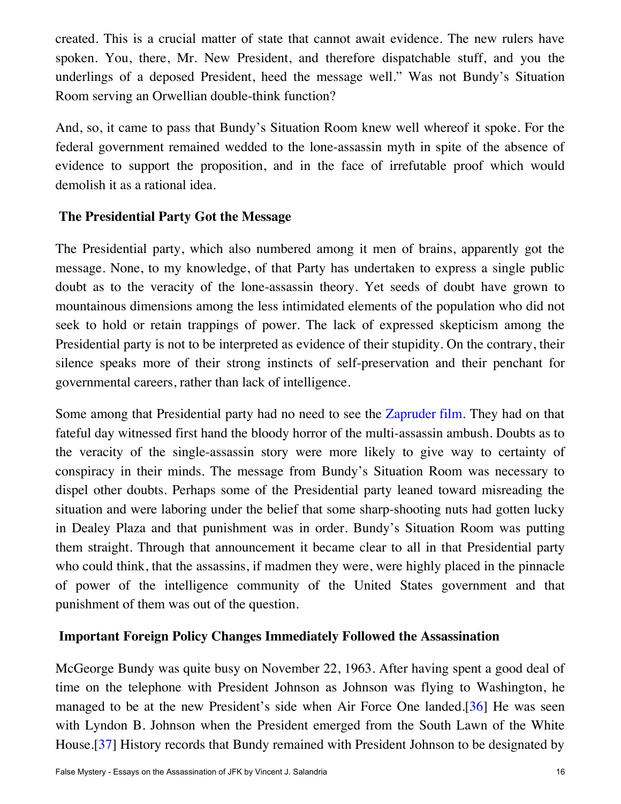created. This is a crucial matter of state that cannot await evidence. The new rulers have spoken. You, there, Mr. New President, and therefore dispatchable stuff, and you the underlings of a deposed President, heed the message well." Was not Bundy's Situation Room serving an Orwellian double-think function?

And, so, it came to pass that Bundy's Situation Room knew well whereof it spoke. For the federal government remained wedded to the lone-assassin myth in spite of the absence of evidence to support the proposition, and in the face of irrefutable proof which would demolish it as a rational idea.

### <span id="page-15-0"></span>**The Presidential Party Got the Message**

The Presidential party, which also numbered among it men of brains, apparently got the message. None, to my knowledge, of that Party has undertaken to express a single public doubt as to the veracity of the lone-assassin theory. Yet seeds of doubt have grown to mountainous dimensions among the less intimidated elements of the population who did not seek to hold or retain trappings of power. The lack of expressed skepticism among the Presidential party is not to be interpreted as evidence of their stupidity. On the contrary, their silence speaks more of their strong instincts of self-preservation and their penchant for governmental careers, rather than lack of intelligence.

Some among that Presidential party had no need to see the [Zapruder film](https://www.youtube.com/watch?v=iU83R7rpXQY). They had on that fateful day witnessed first hand the bloody horror of the multi-assassin ambush. Doubts as to the veracity of the single-assassin story were more likely to give way to certainty of conspiracy in their minds. The message from Bundy's Situation Room was necessary to dispel other doubts. Perhaps some of the Presidential party leaned toward misreading the situation and were laboring under the belief that some sharp-shooting nuts had gotten lucky in Dealey Plaza and that punishment was in order. Bundy's Situation Room was putting them straight. Through that announcement it became clear to all in that Presidential party who could think, that the assassins, if madmen they were, were highly placed in the pinnacle of power of the intelligence community of the United States government and that punishment of them was out of the question.

## <span id="page-15-1"></span>**Important Foreign Policy Changes Immediately Followed the Assassination**

<span id="page-15-3"></span><span id="page-15-2"></span>McGeorge Bundy was quite busy on November 22, 1963. After having spent a good deal of time on the telephone with President Johnson as Johnson was flying to Washington, he managed to be at the new President's side when Air Force One landed.[\[36\]](#page-20-19) He was seen with Lyndon B. Johnson when the President emerged from the South Lawn of the White House.[\[37\]](#page-20-20) History records that Bundy remained with President Johnson to be designated by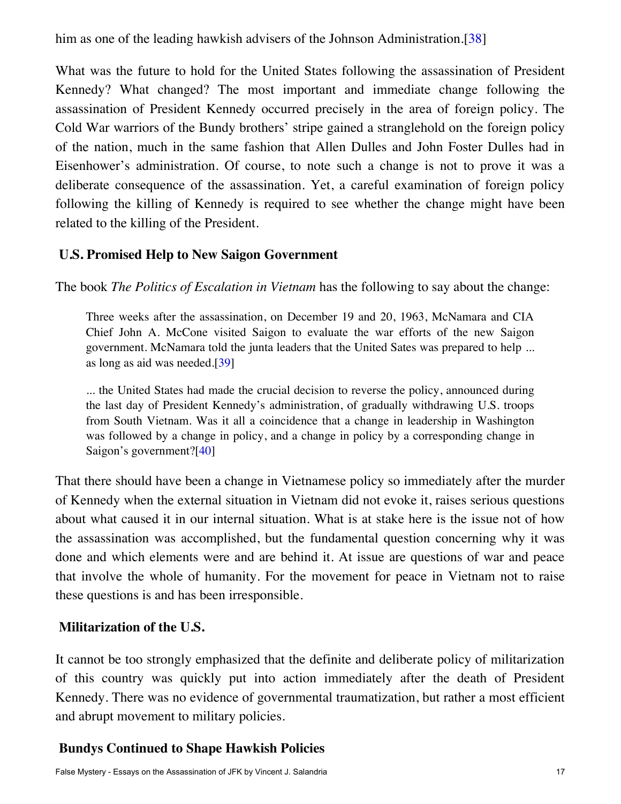<span id="page-16-3"></span>him as one of the leading hawkish advisers of the Johnson Administration.[\[38](#page-20-21)]

What was the future to hold for the United States following the assassination of President Kennedy? What changed? The most important and immediate change following the assassination of President Kennedy occurred precisely in the area of foreign policy. The Cold War warriors of the Bundy brothers' stripe gained a stranglehold on the foreign policy of the nation, much in the same fashion that Allen Dulles and John Foster Dulles had in Eisenhower's administration. Of course, to note such a change is not to prove it was a deliberate consequence of the assassination. Yet, a careful examination of foreign policy following the killing of Kennedy is required to see whether the change might have been related to the killing of the President.

### <span id="page-16-0"></span>**U.S. Promised Help to New Saigon Government**

The book *The Politics of Escalation in Vietnam* has the following to say about the change:

Three weeks after the assassination, on December 19 and 20, 1963, McNamara and CIA Chief John A. McCone visited Saigon to evaluate the war efforts of the new Saigon government. McNamara told the junta leaders that the United Sates was prepared to help ... as long as aid was needed.[\[39](#page-20-22)]

<span id="page-16-4"></span>... the United States had made the crucial decision to reverse the policy, announced during the last day of President Kennedy's administration, of gradually withdrawing U.S. troops from South Vietnam. Was it all a coincidence that a change in leadership in Washington was followed by a change in policy, and a change in policy by a corresponding change in Saigon's government?[\[40](#page-20-23)]

<span id="page-16-5"></span>That there should have been a change in Vietnamese policy so immediately after the murder of Kennedy when the external situation in Vietnam did not evoke it, raises serious questions about what caused it in our internal situation. What is at stake here is the issue not of how the assassination was accomplished, but the fundamental question concerning why it was done and which elements were and are behind it. At issue are questions of war and peace that involve the whole of humanity. For the movement for peace in Vietnam not to raise these questions is and has been irresponsible.

### <span id="page-16-1"></span>**Militarization of the U.S.**

It cannot be too strongly emphasized that the definite and deliberate policy of militarization of this country was quickly put into action immediately after the death of President Kennedy. There was no evidence of governmental traumatization, but rather a most efficient and abrupt movement to military policies.

### <span id="page-16-2"></span>**Bundys Continued to Shape Hawkish Policies**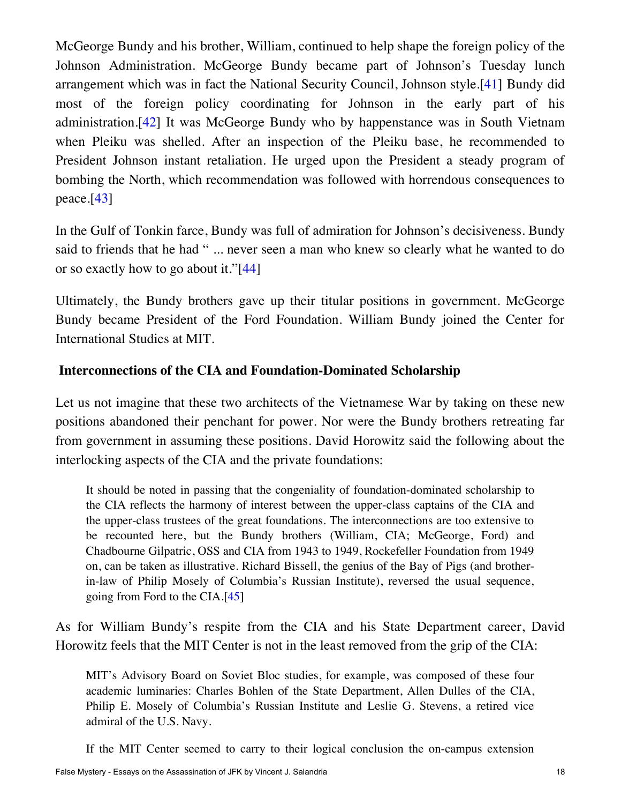<span id="page-17-2"></span><span id="page-17-1"></span>McGeorge Bundy and his brother, William, continued to help shape the foreign policy of the Johnson Administration. McGeorge Bundy became part of Johnson's Tuesday lunch arrangement which was in fact the National Security Council, Johnson style.[\[41](#page-20-24)] Bundy did most of the foreign policy coordinating for Johnson in the early part of his administration.[\[42](#page-20-25)] It was McGeorge Bundy who by happenstance was in South Vietnam when Pleiku was shelled. After an inspection of the Pleiku base, he recommended to President Johnson instant retaliation. He urged upon the President a steady program of bombing the North, which recommendation was followed with horrendous consequences to peace.[\[43\]](#page-20-26)

<span id="page-17-3"></span>In the Gulf of Tonkin farce, Bundy was full of admiration for Johnson's decisiveness. Bundy said to friends that he had " ... never seen a man who knew so clearly what he wanted to do or so exactly how to go about it."[\[44\]](#page-20-27)

<span id="page-17-4"></span>Ultimately, the Bundy brothers gave up their titular positions in government. McGeorge Bundy became President of the Ford Foundation. William Bundy joined the Center for International Studies at MIT.

#### <span id="page-17-0"></span>**Interconnections of the CIA and Foundation-Dominated Scholarship**

Let us not imagine that these two architects of the Vietnamese War by taking on these new positions abandoned their penchant for power. Nor were the Bundy brothers retreating far from government in assuming these positions. David Horowitz said the following about the interlocking aspects of the CIA and the private foundations:

It should be noted in passing that the congeniality of foundation-dominated scholarship to the CIA reflects the harmony of interest between the upper-class captains of the CIA and the upper-class trustees of the great foundations. The interconnections are too extensive to be recounted here, but the Bundy brothers (William, CIA; McGeorge, Ford) and Chadbourne Gilpatric, OSS and CIA from 1943 to 1949, Rockefeller Foundation from 1949 on, can be taken as illustrative. Richard Bissell, the genius of the Bay of Pigs (and brotherin-law of Philip Mosely of Columbia's Russian Institute), reversed the usual sequence, going from Ford to the CIA.[\[45](#page-20-28)]

<span id="page-17-5"></span>As for William Bundy's respite from the CIA and his State Department career, David Horowitz feels that the MIT Center is not in the least removed from the grip of the CIA:

MIT's Advisory Board on Soviet Bloc studies, for example, was composed of these four academic luminaries: Charles Bohlen of the State Department, Allen Dulles of the CIA, Philip E. Mosely of Columbia's Russian Institute and Leslie G. Stevens, a retired vice admiral of the U.S. Navy.

If the MIT Center seemed to carry to their logical conclusion the on-campus extension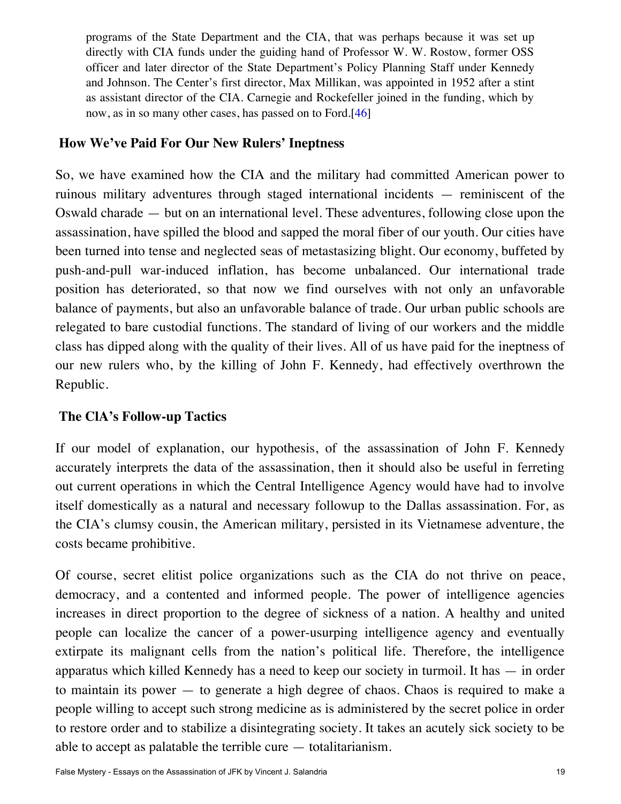programs of the State Department and the CIA, that was perhaps because it was set up directly with CIA funds under the guiding hand of Professor W. W. Rostow, former OSS officer and later director of the State Department's Policy Planning Staff under Kennedy and Johnson. The Center's first director, Max Millikan, was appointed in 1952 after a stint as assistant director of the CIA. Carnegie and Rockefeller joined in the funding, which by now, as in so many other cases, has passed on to Ford.[\[46](#page-20-29)]

#### <span id="page-18-2"></span><span id="page-18-0"></span>**How We've Paid For Our New Rulers' Ineptness**

So, we have examined how the CIA and the military had committed American power to ruinous military adventures through staged international incidents — reminiscent of the Oswald charade — but on an international level. These adventures, following close upon the assassination, have spilled the blood and sapped the moral fiber of our youth. Our cities have been turned into tense and neglected seas of metastasizing blight. Our economy, buffeted by push-and-pull war-induced inflation, has become unbalanced. Our international trade position has deteriorated, so that now we find ourselves with not only an unfavorable balance of payments, but also an unfavorable balance of trade. Our urban public schools are relegated to bare custodial functions. The standard of living of our workers and the middle class has dipped along with the quality of their lives. All of us have paid for the ineptness of our new rulers who, by the killing of John F. Kennedy, had effectively overthrown the Republic.

### <span id="page-18-1"></span>**The ClA's Follow-up Tactics**

If our model of explanation, our hypothesis, of the assassination of John F. Kennedy accurately interprets the data of the assassination, then it should also be useful in ferreting out current operations in which the Central Intelligence Agency would have had to involve itself domestically as a natural and necessary followup to the Dallas assassination. For, as the CIA's clumsy cousin, the American military, persisted in its Vietnamese adventure, the costs became prohibitive.

Of course, secret elitist police organizations such as the CIA do not thrive on peace, democracy, and a contented and informed people. The power of intelligence agencies increases in direct proportion to the degree of sickness of a nation. A healthy and united people can localize the cancer of a power-usurping intelligence agency and eventually extirpate its malignant cells from the nation's political life. Therefore, the intelligence apparatus which killed Kennedy has a need to keep our society in turmoil. It has — in order to maintain its power — to generate a high degree of chaos. Chaos is required to make a people willing to accept such strong medicine as is administered by the secret police in order to restore order and to stabilize a disintegrating society. It takes an acutely sick society to be able to accept as palatable the terrible cure — totalitarianism.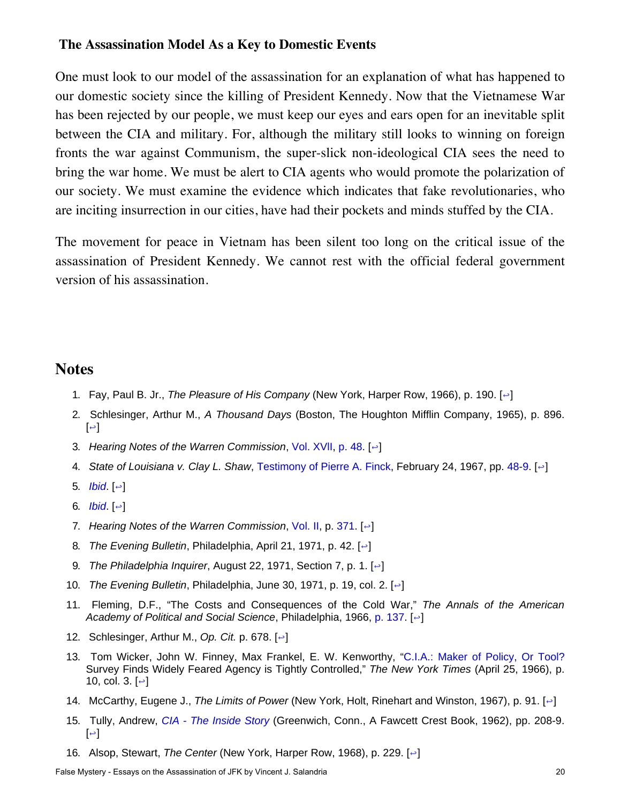#### <span id="page-19-0"></span>**The Assassination Model As a Key to Domestic Events**

One must look to our model of the assassination for an explanation of what has happened to our domestic society since the killing of President Kennedy. Now that the Vietnamese War has been rejected by our people, we must keep our eyes and ears open for an inevitable split between the CIA and military. For, although the military still looks to winning on foreign fronts the war against Communism, the super-slick non-ideological CIA sees the need to bring the war home. We must be alert to CIA agents who would promote the polarization of our society. We must examine the evidence which indicates that fake revolutionaries, who are inciting insurrection in our cities, have had their pockets and minds stuffed by the CIA.

The movement for peace in Vietnam has been silent too long on the critical issue of the assassination of President Kennedy. We cannot rest with the official federal government version of his assassination.

#### <span id="page-19-3"></span><span id="page-19-2"></span><span id="page-19-1"></span>**Notes**

- 1. Fay, Paul B. Jr., *The Pleasure of His Company* (New York, Harper Row, 1966), p. 190. [[↩](#page-6-1)]
- 2. Schlesinger, Arthur M., *A Thousand Days* (Boston, The Houghton Mifflin Company, 1965), p. 896.  $\left[\right.\right.$
- <span id="page-19-4"></span>3. *Hearing Notes of the Warren Commission*, [Vol.](http://history-matters.com/archive/contents/wc/contents_wh17.htm) XVlI, [p. 48](http://history-matters.com/archive/jfk/wc/wcvols/wh17/html/WH_Vol17_0037b.htm). [[↩](#page-7-2)]
- <span id="page-19-5"></span>4. *State of Louisiana v. Clay L. Shaw*, [Testimony of Pierre A. Finck](https://archive.org/details/nsia-FinckPierreAColonelTestimonyNewOrleans), February 24, 1967, pp. [48](https://archive.org/stream/nsia-FinckPierreAColonelTestimonyNewOrleans/nsia-FinckPierreAColonelTestimonyNewOrleans/Finck%20Pierre%20NO%20Test%2001#page/n47/mode/2up)[-9](https://archive.org/stream/nsia-FinckPierreAColonelTestimonyNewOrleans/nsia-FinckPierreAColonelTestimonyNewOrleans/Finck%20Pierre%20NO%20Test%2001#page/n49/mode/2up). [[↩](#page-7-3)]
- <span id="page-19-6"></span>5. *[Ibid](#page-19-5)*.  $\left[ \left. \left. \right| \right. \right.$
- <span id="page-19-7"></span>6. *[Ibid](#page-19-5)*. [[↩](#page-7-4)]
- <span id="page-19-8"></span>7. *Hearing Notes of the Warren Commission*, [Vol. II](http://history-matters.com/archive/contents/wc/contents_wh2.htm), p. [371](http://history-matters.com/archive/jfk/wc/wcvols/wh2/html/WC_Vol2_0190a.htm). [[↩](#page-7-5)]
- <span id="page-19-9"></span>8. *The Evening Bulletin*, Philadelphia, April 21, 1971, p. 42. [[↩](#page-7-6)]
- 9. *The Philadelphia Inquirer*, August 22, 1971, Section 7, p. 1. [[↩](#page-8-2)]
- <span id="page-19-11"></span><span id="page-19-10"></span>10. *The Evening Bulletin*, Philadelphia, June 30, 1971, p. 19, col. 2. [[↩](#page-8-3)]
- <span id="page-19-12"></span>11. Fleming, D.F., "The Costs and Consequences of the Cold War," *The Annals of the American Academy of Political and Social Science*, Philadelphia, 1966, [p. 137](https://ratical.org/ratville/JFK/FalseMystery/Costs+ConsequncesOfCW.pdf). [[↩](#page-9-1)]
- <span id="page-19-13"></span>12. Schlesinger, Arthur M., *Op. Cit.* p. 678. [[↩](#page-9-2)]
- <span id="page-19-14"></span>13. Tom Wicker, John W. Finney, Max Frankel, E. W. Kenworthy, ["C.I.A.: Maker of Policy, Or Tool?](https://ratical.org/ratville/JFK/Unspeakable/JFK-scatterCIAtoWinds.pdf) Survey Finds Widely Feared Agency is Tightly Controlled," *The New York Times* (April 25, 1966), p. 10, col. 3.  $[~\rightleftharpoons~]$
- <span id="page-19-15"></span>14. McCarthy, Eugene J., *The Limits of Power* (New York, Holt, Rinehart and Winston, 1967), p. 91. [[↩](#page-10-2)]
- <span id="page-19-16"></span>15. Tully, Andrew, *[CIA - The Inside Story](http://www.worldcat.org/title/cia-the-inside-story/oclc/499268/editions?referer=di&editionsView=true)* (Greenwich, Conn., A Fawcett Crest Book, 1962), pp. 208-9.  $\left[\right.\right.$
- <span id="page-19-17"></span>16. Alsop, Stewart, *The Center* (New York, Harper Row, 1968), p. 229. [[↩](#page-10-4)]